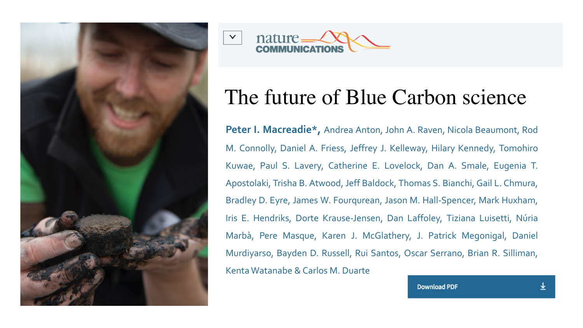



## The future of Blue Carbon science

**Peter I. Macreadie\*,** Andrea Anton, John A. Raven, Nicola Beaumont, Rod M. Connolly, Daniel A. Friess, Jeffrey J. Kelleway, Hilary Kennedy, Tomohiro Kuwae, Paul S. Lavery, Catherine E. Lovelock, Dan A. Smale, Eugenia T. Apostolaki, Trisha B. Atwood, Jeff Baldock, Thomas S. Bianchi, Gail L. Chmura, Bradley D. Eyre, James W. Fourqurean, Jason M. Hall-Spencer, Mark Huxham, Iris E. Hendriks, Dorte Krause-Jensen, Dan Laffoley, Tiziana Luisetti, Núria Marbà, Pere Masque, Karen J. McGlathery, J. Patrick Megonigal, Daniel Murdiyarso, Bayden D. Russell, Rui Santos, Oscar Serrano, Brian R. Silliman, Kenta Watanabe & Carlos M. Duarte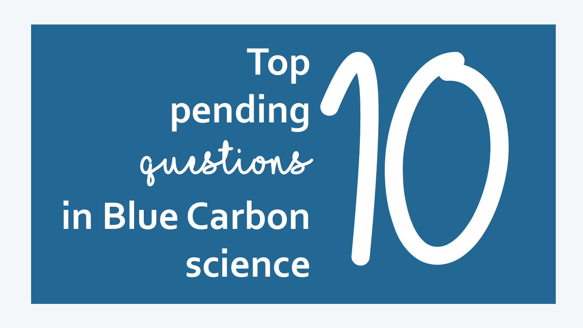**Top pending**  questions **Solutions**<br> **Solutions**<br> **Solutions**<br> **Socience** 1

**in Blue Carbon**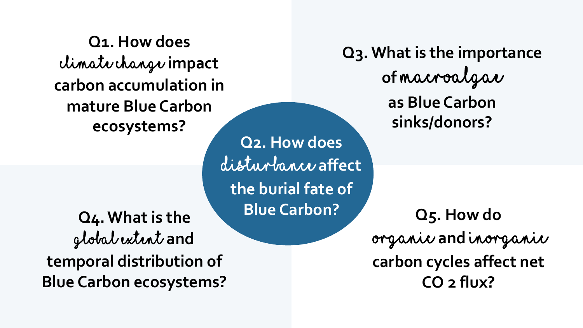**Q1. How does**  climate change **impact carbon accumulation in mature Blue Carbon ecosystems?**

**Q4. What is the**  global extent **and temporal distribution of Blue Carbon ecosystems?**

**Q3. What is the global importance of macroalgae,**  disturbance **affect including calcifying algae, as Blue Carbon sinks/donors? the burial fate of Q2. How does Blue Carbon?**

**Q3. What is the importance of** macroalgae **as Blue Carbon sinks/donors?**

> **Q5. How do** organic **and** inorganic **carbon cycles affect net CO 2 flux?**